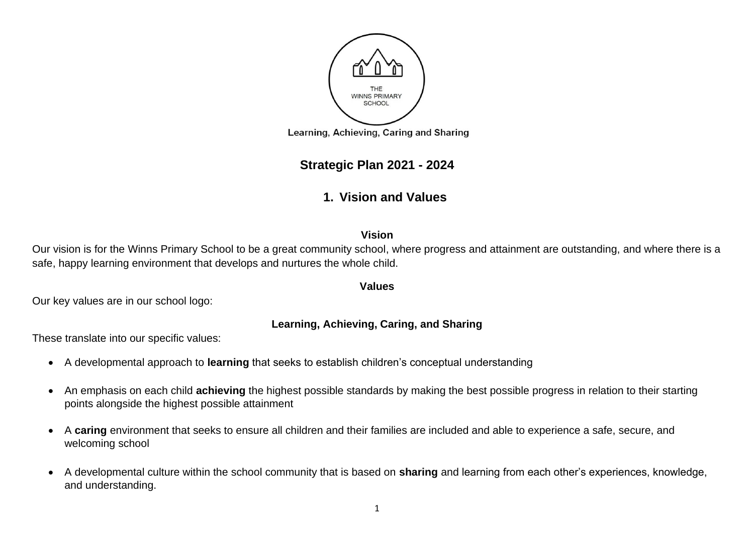

## **Strategic Plan 2021 - 2024**

# **1. Vision and Values**

#### **Vision**

Our vision is for the Winns Primary School to be a great community school, where progress and attainment are outstanding, and where there is a safe, happy learning environment that develops and nurtures the whole child.

#### **Values**

Our key values are in our school logo:

#### **Learning, Achieving, Caring, and Sharing**

These translate into our specific values:

- A developmental approach to **learning** that seeks to establish children's conceptual understanding
- An emphasis on each child **achieving** the highest possible standards by making the best possible progress in relation to their starting points alongside the highest possible attainment
- A **caring** environment that seeks to ensure all children and their families are included and able to experience a safe, secure, and welcoming school
- A developmental culture within the school community that is based on **sharing** and learning from each other's experiences, knowledge, and understanding.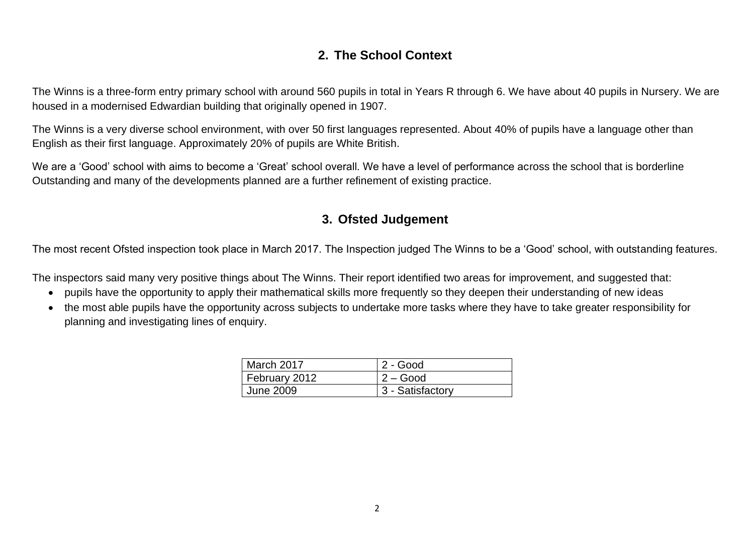## **2. The School Context**

The Winns is a three-form entry primary school with around 560 pupils in total in Years R through 6. We have about 40 pupils in Nursery. We are housed in a modernised Edwardian building that originally opened in 1907.

The Winns is a very diverse school environment, with over 50 first languages represented. About 40% of pupils have a language other than English as their first language. Approximately 20% of pupils are White British.

We are a 'Good' school with aims to become a 'Great' school overall. We have a level of performance across the school that is borderline Outstanding and many of the developments planned are a further refinement of existing practice.

#### **3. Ofsted Judgement**

The most recent Ofsted inspection took place in March 2017. The Inspection judged The Winns to be a 'Good' school, with outstanding features.

The inspectors said many very positive things about The Winns. Their report identified two areas for improvement, and suggested that:

- pupils have the opportunity to apply their mathematical skills more frequently so they deepen their understanding of new ideas
- the most able pupils have the opportunity across subjects to undertake more tasks where they have to take greater responsibility for planning and investigating lines of enquiry.

| March 2017    | 2 - Good         |
|---------------|------------------|
| February 2012 | $2 - Good$       |
| June 2009     | 3 - Satisfactory |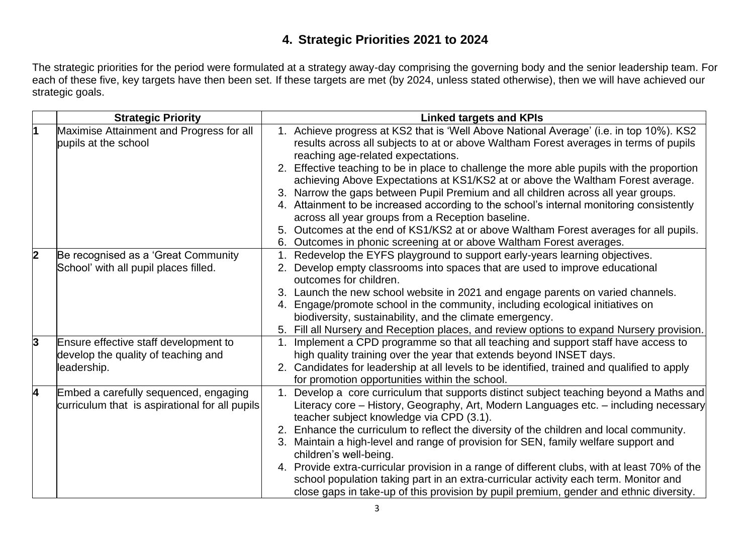# **4. Strategic Priorities 2021 to 2024**

The strategic priorities for the period were formulated at a strategy away-day comprising the governing body and the senior leadership team. For each of these five, key targets have then been set. If these targets are met (by 2024, unless stated otherwise), then we will have achieved our strategic goals.

|                | <b>Strategic Priority</b>                          | <b>Linked targets and KPIs</b>                                                                                                                                             |
|----------------|----------------------------------------------------|----------------------------------------------------------------------------------------------------------------------------------------------------------------------------|
|                | Maximise Attainment and Progress for all           | 1. Achieve progress at KS2 that is 'Well Above National Average' (i.e. in top 10%). KS2                                                                                    |
|                | pupils at the school                               | results across all subjects to at or above Waltham Forest averages in terms of pupils                                                                                      |
|                |                                                    | reaching age-related expectations.                                                                                                                                         |
|                |                                                    | Effective teaching to be in place to challenge the more able pupils with the proportion<br>achieving Above Expectations at KS1/KS2 at or above the Waltham Forest average. |
|                |                                                    | 3. Narrow the gaps between Pupil Premium and all children across all year groups.                                                                                          |
|                |                                                    | 4. Attainment to be increased according to the school's internal monitoring consistently                                                                                   |
|                |                                                    | across all year groups from a Reception baseline.                                                                                                                          |
|                |                                                    | Outcomes at the end of KS1/KS2 at or above Waltham Forest averages for all pupils.<br>5.                                                                                   |
|                |                                                    | 6. Outcomes in phonic screening at or above Waltham Forest averages.                                                                                                       |
| $\overline{2}$ | Be recognised as a 'Great Community                | Redevelop the EYFS playground to support early-years learning objectives.                                                                                                  |
|                | School' with all pupil places filled.              | 2. Develop empty classrooms into spaces that are used to improve educational                                                                                               |
|                |                                                    | outcomes for children.                                                                                                                                                     |
|                |                                                    | Launch the new school website in 2021 and engage parents on varied channels.                                                                                               |
|                |                                                    | 4. Engage/promote school in the community, including ecological initiatives on                                                                                             |
|                |                                                    | biodiversity, sustainability, and the climate emergency.                                                                                                                   |
|                |                                                    | Fill all Nursery and Reception places, and review options to expand Nursery provision.<br>5.                                                                               |
| 3              | Ensure effective staff development to              | 1. Implement a CPD programme so that all teaching and support staff have access to                                                                                         |
|                | develop the quality of teaching and<br>leadership. | high quality training over the year that extends beyond INSET days.<br>2. Candidates for leadership at all levels to be identified, trained and qualified to apply         |
|                |                                                    | for promotion opportunities within the school.                                                                                                                             |
| 4              | Embed a carefully sequenced, engaging              | 1. Develop a core curriculum that supports distinct subject teaching beyond a Maths and                                                                                    |
|                | curriculum that is aspirational for all pupils     | Literacy core – History, Geography, Art, Modern Languages etc. – including necessary                                                                                       |
|                |                                                    | teacher subject knowledge via CPD (3.1).                                                                                                                                   |
|                |                                                    | 2. Enhance the curriculum to reflect the diversity of the children and local community.                                                                                    |
|                |                                                    | 3. Maintain a high-level and range of provision for SEN, family welfare support and                                                                                        |
|                |                                                    | children's well-being.                                                                                                                                                     |
|                |                                                    | 4. Provide extra-curricular provision in a range of different clubs, with at least 70% of the                                                                              |
|                |                                                    | school population taking part in an extra-curricular activity each term. Monitor and                                                                                       |
|                |                                                    | close gaps in take-up of this provision by pupil premium, gender and ethnic diversity.                                                                                     |